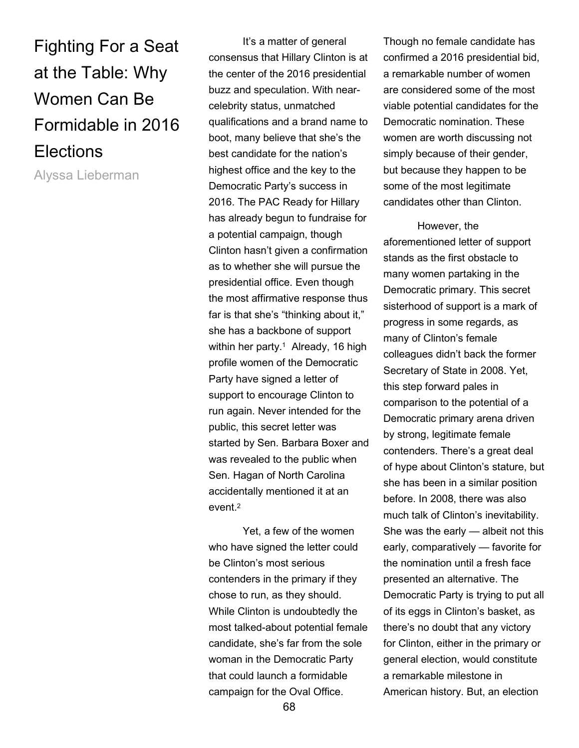Fighting For a Seat at the Table: Why Women Can Be Formidable in 2016 **Elections** 

Alyssa Lieberman

 It's a matter of general consensus that Hillary Clinton is at the center of the 2016 presidential buzz and speculation. With nearcelebrity status, unmatched qualifications and a brand name to boot, many believe that she's the best candidate for the nation's highest office and the key to the Democratic Party's success in 2016. The PAC Ready for Hillary has already begun to fundraise for a potential campaign, though Clinton hasn't given a confirmation as to whether she will pursue the presidential office. Even though the most affirmative response thus far is that she's "thinking about it," she has a backbone of support within her party.<sup>1</sup> Already, 16 high profile women of the Democratic Party have signed a letter of support to encourage Clinton to run again. Never intended for the public, this secret letter was started by Sen. Barbara Boxer and was revealed to the public when Sen. Hagan of North Carolina accidentally mentioned it at an  $e$ vent $^2$ 

 Yet, a few of the women who have signed the letter could be Clinton's most serious contenders in the primary if they chose to run, as they should. While Clinton is undoubtedly the most talked-about potential female candidate, she's far from the sole woman in the Democratic Party that could launch a formidable campaign for the Oval Office.

Though no female candidate has confirmed a 2016 presidential bid, a remarkable number of women are considered some of the most viable potential candidates for the Democratic nomination. These women are worth discussing not simply because of their gender, but because they happen to be some of the most legitimate candidates other than Clinton.

 However, the aforementioned letter of support stands as the first obstacle to many women partaking in the Democratic primary. This secret sisterhood of support is a mark of progress in some regards, as many of Clinton's female colleagues didn't back the former Secretary of State in 2008. Yet, this step forward pales in comparison to the potential of a Democratic primary arena driven by strong, legitimate female contenders. There's a great deal of hype about Clinton's stature, but she has been in a similar position before. In 2008, there was also much talk of Clinton's inevitability. She was the early — albeit not this early, comparatively — favorite for the nomination until a fresh face presented an alternative. The Democratic Party is trying to put all of its eggs in Clinton's basket, as there's no doubt that any victory for Clinton, either in the primary or general election, would constitute a remarkable milestone in American history. But, an election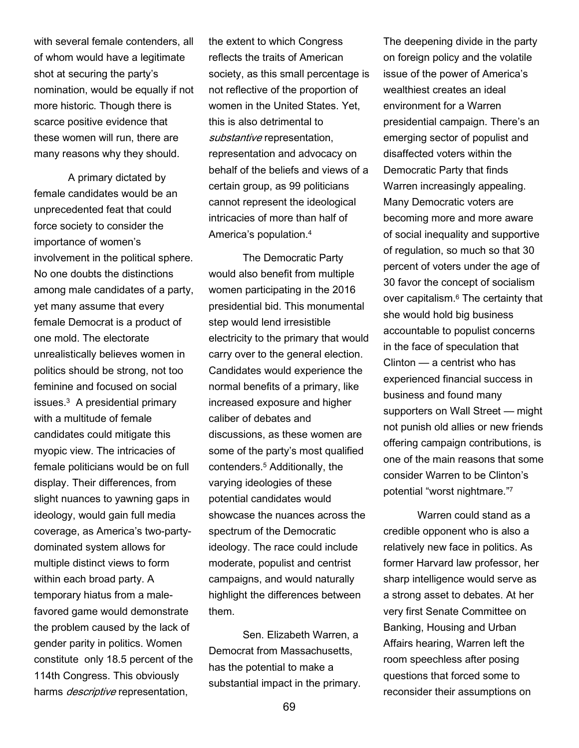with several female contenders, all of whom would have a legitimate shot at securing the party's nomination, would be equally if not more historic. Though there is scarce positive evidence that these women will run, there are many reasons why they should.

 A primary dictated by female candidates would be an unprecedented feat that could force society to consider the importance of women's involvement in the political sphere. No one doubts the distinctions among male candidates of a party, yet many assume that every female Democrat is a product of one mold. The electorate unrealistically believes women in politics should be strong, not too feminine and focused on social issues.<sup>3</sup> A presidential primary with a multitude of female candidates could mitigate this myopic view. The intricacies of female politicians would be on full display. Their differences, from slight nuances to yawning gaps in ideology, would gain full media coverage, as America's two-partydominated system allows for multiple distinct views to form within each broad party. A temporary hiatus from a malefavored game would demonstrate the problem caused by the lack of gender parity in politics. Women constitute only 18.5 percent of the 114th Congress. This obviously harms *descriptive* representation,

the extent to which Congress reflects the traits of American society, as this small percentage is not reflective of the proportion of women in the United States. Yet, this is also detrimental to substantive representation, representation and advocacy on behalf of the beliefs and views of a certain group, as 99 politicians cannot represent the ideological intricacies of more than half of America's population.<sup>4</sup>

 The Democratic Party would also benefit from multiple women participating in the 2016 presidential bid. This monumental step would lend irresistible electricity to the primary that would carry over to the general election. Candidates would experience the normal benefits of a primary, like increased exposure and higher caliber of debates and discussions, as these women are some of the party's most qualified contenders.<sup>5</sup> Additionally, the varying ideologies of these potential candidates would showcase the nuances across the spectrum of the Democratic ideology. The race could include moderate, populist and centrist campaigns, and would naturally highlight the differences between them.

Sen. Elizabeth Warren, a Democrat from Massachusetts, has the potential to make a substantial impact in the primary. The deepening divide in the party on foreign policy and the volatile issue of the power of America's wealthiest creates an ideal environment for a Warren presidential campaign. There's an emerging sector of populist and disaffected voters within the Democratic Party that finds Warren increasingly appealing. Many Democratic voters are becoming more and more aware of social inequality and supportive of regulation, so much so that 30 percent of voters under the age of 30 favor the concept of socialism over capitalism.<sup>6</sup> The certainty that she would hold big business accountable to populist concerns in the face of speculation that Clinton — a centrist who has experienced financial success in business and found many supporters on Wall Street — might not punish old allies or new friends offering campaign contributions, is one of the main reasons that some consider Warren to be Clinton's potential "worst nightmare."<sup>7</sup>

 Warren could stand as a credible opponent who is also a relatively new face in politics. As former Harvard law professor, her sharp intelligence would serve as a strong asset to debates. At her very first Senate Committee on Banking, Housing and Urban Affairs hearing, Warren left the room speechless after posing questions that forced some to reconsider their assumptions on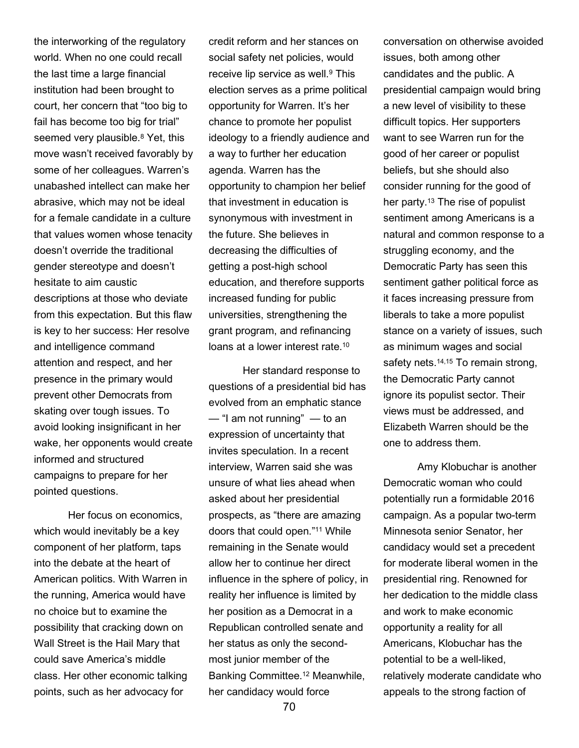the interworking of the regulatory world. When no one could recall the last time a large financial institution had been brought to court, her concern that "too big to fail has become too big for trial" seemed very plausible.<sup>8</sup> Yet, this move wasn't received favorably by some of her colleagues. Warren's unabashed intellect can make her abrasive, which may not be ideal for a female candidate in a culture that values women whose tenacity doesn't override the traditional gender stereotype and doesn't hesitate to aim caustic descriptions at those who deviate from this expectation. But this flaw is key to her success: Her resolve and intelligence command attention and respect, and her presence in the primary would prevent other Democrats from skating over tough issues. To avoid looking insignificant in her wake, her opponents would create informed and structured campaigns to prepare for her pointed questions.

 Her focus on economics, which would inevitably be a key component of her platform, taps into the debate at the heart of American politics. With Warren in the running, America would have no choice but to examine the possibility that cracking down on Wall Street is the Hail Mary that could save America's middle class. Her other economic talking points, such as her advocacy for

credit reform and her stances on social safety net policies, would receive lip service as well.<sup>9</sup> This election serves as a prime political opportunity for Warren. It's her chance to promote her populist ideology to a friendly audience and a way to further her education agenda. Warren has the opportunity to champion her belief that investment in education is synonymous with investment in the future. She believes in decreasing the difficulties of getting a post-high school education, and therefore supports increased funding for public universities, strengthening the grant program, and refinancing loans at a lower interest rate.<sup>10</sup>

Her standard response to questions of a presidential bid has evolved from an emphatic stance — "I am not running" — to an expression of uncertainty that invites speculation. In a recent interview, Warren said she was unsure of what lies ahead when asked about her presidential prospects, as "there are amazing doors that could open."11 While remaining in the Senate would allow her to continue her direct influence in the sphere of policy, in reality her influence is limited by her position as a Democrat in a Republican controlled senate and her status as only the secondmost junior member of the Banking Committee.12 Meanwhile, her candidacy would force

conversation on otherwise avoided issues, both among other candidates and the public. A presidential campaign would bring a new level of visibility to these difficult topics. Her supporters want to see Warren run for the good of her career or populist beliefs, but she should also consider running for the good of her party.13 The rise of populist sentiment among Americans is a natural and common response to a struggling economy, and the Democratic Party has seen this sentiment gather political force as it faces increasing pressure from liberals to take a more populist stance on a variety of issues, such as minimum wages and social safety nets.<sup>14,15</sup> To remain strong, the Democratic Party cannot ignore its populist sector. Their views must be addressed, and Elizabeth Warren should be the one to address them.

 Amy Klobuchar is another Democratic woman who could potentially run a formidable 2016 campaign. As a popular two-term Minnesota senior Senator, her candidacy would set a precedent for moderate liberal women in the presidential ring. Renowned for her dedication to the middle class and work to make economic opportunity a reality for all Americans, Klobuchar has the potential to be a well-liked, relatively moderate candidate who appeals to the strong faction of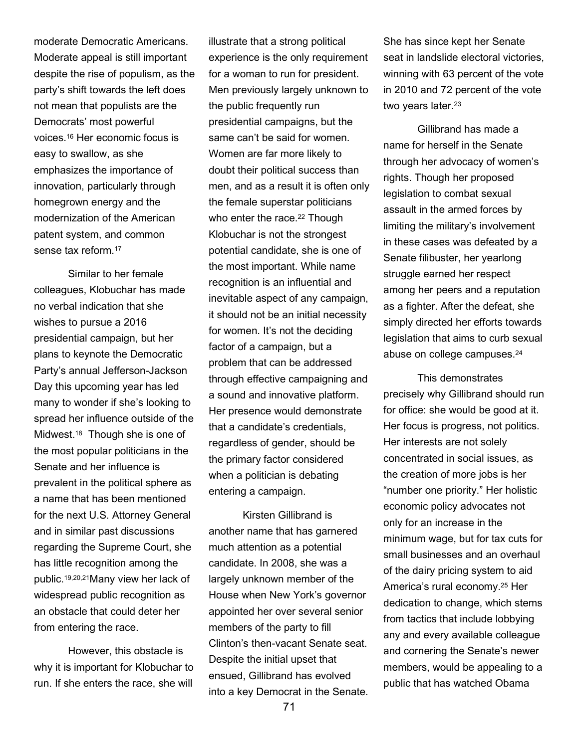moderate Democratic Americans. Moderate appeal is still important despite the rise of populism, as the party's shift towards the left does not mean that populists are the Democrats' most powerful voices.16 Her economic focus is easy to swallow, as she emphasizes the importance of innovation, particularly through homegrown energy and the modernization of the American patent system, and common sense tax reform.<sup>17</sup>

Similar to her female colleagues, Klobuchar has made no verbal indication that she wishes to pursue a 2016 presidential campaign, but her plans to keynote the Democratic Party's annual Jefferson-Jackson Day this upcoming year has led many to wonder if she's looking to spread her influence outside of the Midwest.18 Though she is one of the most popular politicians in the Senate and her influence is prevalent in the political sphere as a name that has been mentioned for the next U.S. Attorney General and in similar past discussions regarding the Supreme Court, she has little recognition among the public.19,20,21Many view her lack of widespread public recognition as an obstacle that could deter her from entering the race.

However, this obstacle is why it is important for Klobuchar to run. If she enters the race, she will

illustrate that a strong political experience is the only requirement for a woman to run for president. Men previously largely unknown to the public frequently run presidential campaigns, but the same can't be said for women. Women are far more likely to doubt their political success than men, and as a result it is often only the female superstar politicians who enter the race.<sup>22</sup> Though Klobuchar is not the strongest potential candidate, she is one of the most important. While name recognition is an influential and inevitable aspect of any campaign, it should not be an initial necessity for women. It's not the deciding factor of a campaign, but a problem that can be addressed through effective campaigning and a sound and innovative platform. Her presence would demonstrate that a candidate's credentials, regardless of gender, should be the primary factor considered when a politician is debating entering a campaign.

 Kirsten Gillibrand is another name that has garnered much attention as a potential candidate. In 2008, she was a largely unknown member of the House when New York's governor appointed her over several senior members of the party to fill Clinton's then-vacant Senate seat. Despite the initial upset that ensued, Gillibrand has evolved into a key Democrat in the Senate. She has since kept her Senate seat in landslide electoral victories, winning with 63 percent of the vote in 2010 and 72 percent of the vote two years later.<sup>23</sup>

 Gillibrand has made a name for herself in the Senate through her advocacy of women's rights. Though her proposed legislation to combat sexual assault in the armed forces by limiting the military's involvement in these cases was defeated by a Senate filibuster, her yearlong struggle earned her respect among her peers and a reputation as a fighter. After the defeat, she simply directed her efforts towards legislation that aims to curb sexual abuse on college campuses.<sup>24</sup>

This demonstrates precisely why Gillibrand should run for office: she would be good at it. Her focus is progress, not politics. Her interests are not solely concentrated in social issues, as the creation of more jobs is her "number one priority." Her holistic economic policy advocates not only for an increase in the minimum wage, but for tax cuts for small businesses and an overhaul of the dairy pricing system to aid America's rural economy.25 Her dedication to change, which stems from tactics that include lobbying any and every available colleague and cornering the Senate's newer members, would be appealing to a public that has watched Obama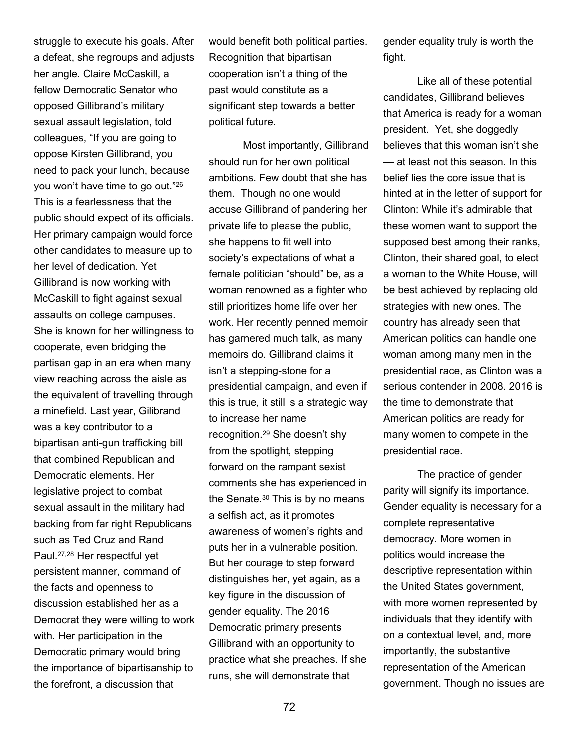struggle to execute his goals. After a defeat, she regroups and adjusts her angle. Claire McCaskill, a fellow Democratic Senator who opposed Gillibrand's military sexual assault legislation, told colleagues, "If you are going to oppose Kirsten Gillibrand, you need to pack your lunch, because you won't have time to go out."<sup>26</sup> This is a fearlessness that the public should expect of its officials. Her primary campaign would force other candidates to measure up to her level of dedication. Yet Gillibrand is now working with McCaskill to fight against sexual assaults on college campuses. She is known for her willingness to cooperate, even bridging the partisan gap in an era when many view reaching across the aisle as the equivalent of travelling through a minefield. Last year, Gilibrand was a key contributor to a bipartisan anti-gun trafficking bill that combined Republican and Democratic elements. Her legislative project to combat sexual assault in the military had backing from far right Republicans such as Ted Cruz and Rand Paul.27,28 Her respectful yet persistent manner, command of the facts and openness to discussion established her as a Democrat they were willing to work with. Her participation in the Democratic primary would bring the importance of bipartisanship to the forefront, a discussion that

would benefit both political parties. Recognition that bipartisan cooperation isn't a thing of the past would constitute as a significant step towards a better political future.

 Most importantly, Gillibrand should run for her own political ambitions. Few doubt that she has them. Though no one would accuse Gillibrand of pandering her private life to please the public, she happens to fit well into society's expectations of what a female politician "should" be, as a woman renowned as a fighter who still prioritizes home life over her work. Her recently penned memoir has garnered much talk, as many memoirs do. Gillibrand claims it isn't a stepping-stone for a presidential campaign, and even if this is true, it still is a strategic way to increase her name recognition.29 She doesn't shy from the spotlight, stepping forward on the rampant sexist comments she has experienced in the Senate.30 This is by no means a selfish act, as it promotes awareness of women's rights and puts her in a vulnerable position. But her courage to step forward distinguishes her, yet again, as a key figure in the discussion of gender equality. The 2016 Democratic primary presents Gillibrand with an opportunity to practice what she preaches. If she runs, she will demonstrate that

gender equality truly is worth the fight.

Like all of these potential candidates, Gillibrand believes that America is ready for a woman president. Yet, she doggedly believes that this woman isn't she — at least not this season. In this belief lies the core issue that is hinted at in the letter of support for Clinton: While it's admirable that these women want to support the supposed best among their ranks, Clinton, their shared goal, to elect a woman to the White House, will be best achieved by replacing old strategies with new ones. The country has already seen that American politics can handle one woman among many men in the presidential race, as Clinton was a serious contender in 2008. 2016 is the time to demonstrate that American politics are ready for many women to compete in the presidential race.

The practice of gender parity will signify its importance. Gender equality is necessary for a complete representative democracy. More women in politics would increase the descriptive representation within the United States government, with more women represented by individuals that they identify with on a contextual level, and, more importantly, the substantive representation of the American government. Though no issues are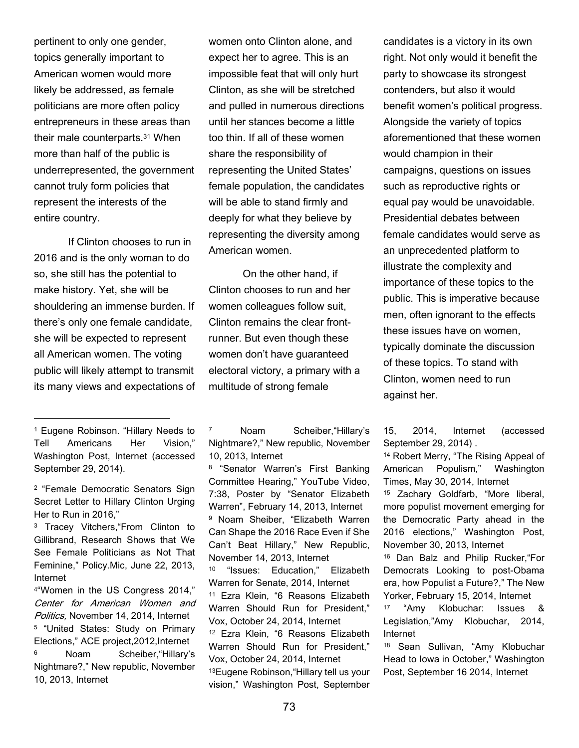pertinent to only one gender, topics generally important to American women would more likely be addressed, as female politicians are more often policy entrepreneurs in these areas than their male counterparts.31 When more than half of the public is underrepresented, the government cannot truly form policies that represent the interests of the entire country.

 If Clinton chooses to run in 2016 and is the only woman to do so, she still has the potential to make history. Yet, she will be shouldering an immense burden. If there's only one female candidate, she will be expected to represent all American women. The voting public will likely attempt to transmit its many views and expectations of

 $\overline{a}$ 

<sup>2</sup> "Female Democratic Senators Sign Secret Letter to Hillary Clinton Urging Her to Run in 2016,"

<sup>3</sup> Tracey Vitchers,"From Clinton to Gillibrand, Research Shows that We See Female Politicians as Not That Feminine," Policy.Mic, June 22, 2013, Internet

<sup>4</sup>"Women in the US Congress 2014," Center for American Women and Politics, November 14, 2014, Internet <sup>5</sup> "United States: Study on Primary Elections," ACE project,2012,Internet Noam Scheiber, "Hillary's Nightmare?," New republic, November

10, 2013, Internet

women onto Clinton alone, and expect her to agree. This is an impossible feat that will only hurt Clinton, as she will be stretched and pulled in numerous directions until her stances become a little too thin. If all of these women share the responsibility of representing the United States' female population, the candidates will be able to stand firmly and deeply for what they believe by representing the diversity among American women.

 On the other hand, if Clinton chooses to run and her women colleagues follow suit, Clinton remains the clear frontrunner. But even though these women don't have guaranteed electoral victory, a primary with a multitude of strong female

<sup>8</sup> "Senator Warren's First Banking Committee Hearing," YouTube Video, 7:38, Poster by "Senator Elizabeth Warren", February 14, 2013, Internet <sup>9</sup> Noam Sheiber, "Elizabeth Warren Can Shape the 2016 Race Even if She Can't Beat Hillary," New Republic, November 14, 2013, Internet <sup>10</sup> "Issues: Education," Elizabeth Warren for Senate, 2014, Internet <sup>11</sup> Ezra Klein, "6 Reasons Elizabeth Warren Should Run for President," Vox, October 24, 2014, Internet <sup>12</sup> Ezra Klein, "6 Reasons Elizabeth Warren Should Run for President," Vox, October 24, 2014, Internet <sup>13</sup>Eugene Robinson,"Hillary tell us your vision," Washington Post, September candidates is a victory in its own right. Not only would it benefit the party to showcase its strongest contenders, but also it would benefit women's political progress. Alongside the variety of topics aforementioned that these women would champion in their campaigns, questions on issues such as reproductive rights or equal pay would be unavoidable. Presidential debates between female candidates would serve as an unprecedented platform to illustrate the complexity and importance of these topics to the public. This is imperative because men, often ignorant to the effects these issues have on women, typically dominate the discussion of these topics. To stand with Clinton, women need to run against her.

15, 2014, Internet (accessed September 29, 2014) .

<sup>14</sup> Robert Merry, "The Rising Appeal of American Populism," Washington Times, May 30, 2014, Internet

<sup>15</sup> Zachary Goldfarb, "More liberal, more populist movement emerging for the Democratic Party ahead in the 2016 elections," Washington Post, November 30, 2013, Internet

<sup>16</sup> Dan Balz and Philip Rucker,"For Democrats Looking to post-Obama era, how Populist a Future?," The New Yorker, February 15, 2014, Internet

"Amy Klobuchar: Issues & Legislation,"Amy Klobuchar, 2014, Internet

<sup>18</sup> Sean Sullivan, "Amy Klobuchar Head to Iowa in October," Washington Post, September 16 2014, Internet

<sup>1</sup> Eugene Robinson. "Hillary Needs to Tell Americans Her Vision," Washington Post, Internet (accessed September 29, 2014).

<sup>7</sup> Noam Scheiber,"Hillary's Nightmare?," New republic, November 10, 2013, Internet